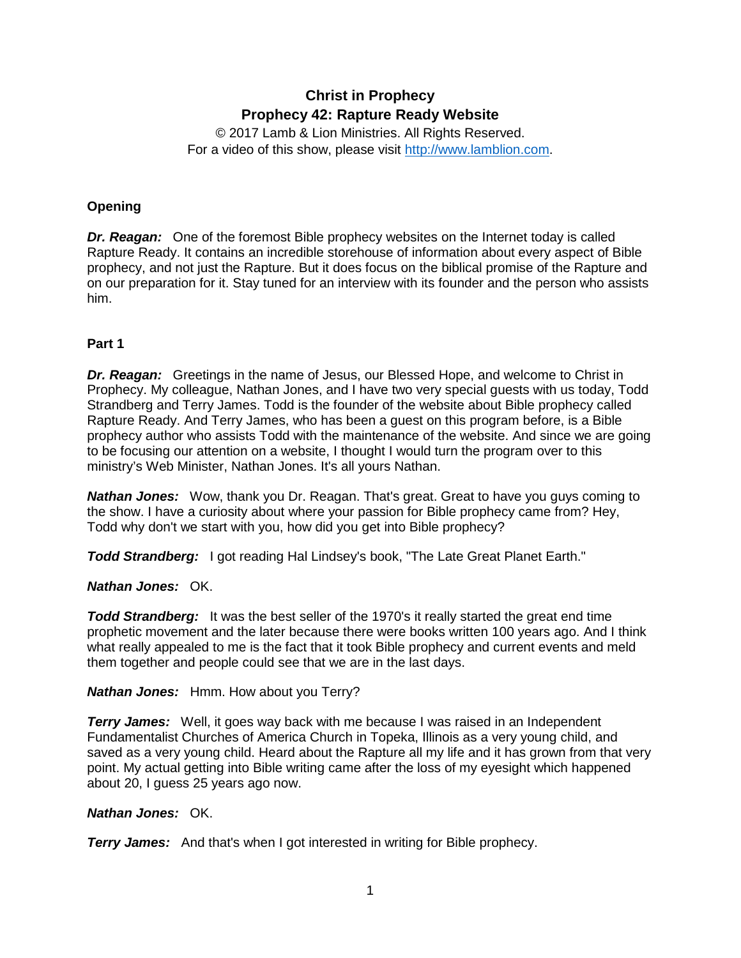# **Christ in Prophecy Prophecy 42: Rapture Ready Website**

© 2017 Lamb & Lion Ministries. All Rights Reserved. For a video of this show, please visit [http://www.lamblion.com.](http://www.lamblion.com/)

# **Opening**

*Dr. Reagan:* One of the foremost Bible prophecy websites on the Internet today is called Rapture Ready. It contains an incredible storehouse of information about every aspect of Bible prophecy, and not just the Rapture. But it does focus on the biblical promise of the Rapture and on our preparation for it. Stay tuned for an interview with its founder and the person who assists him.

# **Part 1**

*Dr. Reagan:* Greetings in the name of Jesus, our Blessed Hope, and welcome to Christ in Prophecy. My colleague, Nathan Jones, and I have two very special guests with us today, Todd Strandberg and Terry James. Todd is the founder of the website about Bible prophecy called Rapture Ready. And Terry James, who has been a guest on this program before, is a Bible prophecy author who assists Todd with the maintenance of the website. And since we are going to be focusing our attention on a website, I thought I would turn the program over to this ministry's Web Minister, Nathan Jones. It's all yours Nathan.

*Nathan Jones:* Wow, thank you Dr. Reagan. That's great. Great to have you guys coming to the show. I have a curiosity about where your passion for Bible prophecy came from? Hey, Todd why don't we start with you, how did you get into Bible prophecy?

*Todd Strandberg:* I got reading Hal Lindsey's book, "The Late Great Planet Earth."

# *Nathan Jones:* OK.

**Todd Strandberg:** It was the best seller of the 1970's it really started the great end time prophetic movement and the later because there were books written 100 years ago. And I think what really appealed to me is the fact that it took Bible prophecy and current events and meld them together and people could see that we are in the last days.

# *Nathan Jones:* Hmm. How about you Terry?

*Terry James:* Well, it goes way back with me because I was raised in an Independent Fundamentalist Churches of America Church in Topeka, Illinois as a very young child, and saved as a very young child. Heard about the Rapture all my life and it has grown from that very point. My actual getting into Bible writing came after the loss of my eyesight which happened about 20, I guess 25 years ago now.

# *Nathan Jones:* OK.

*Terry James:* And that's when I got interested in writing for Bible prophecy.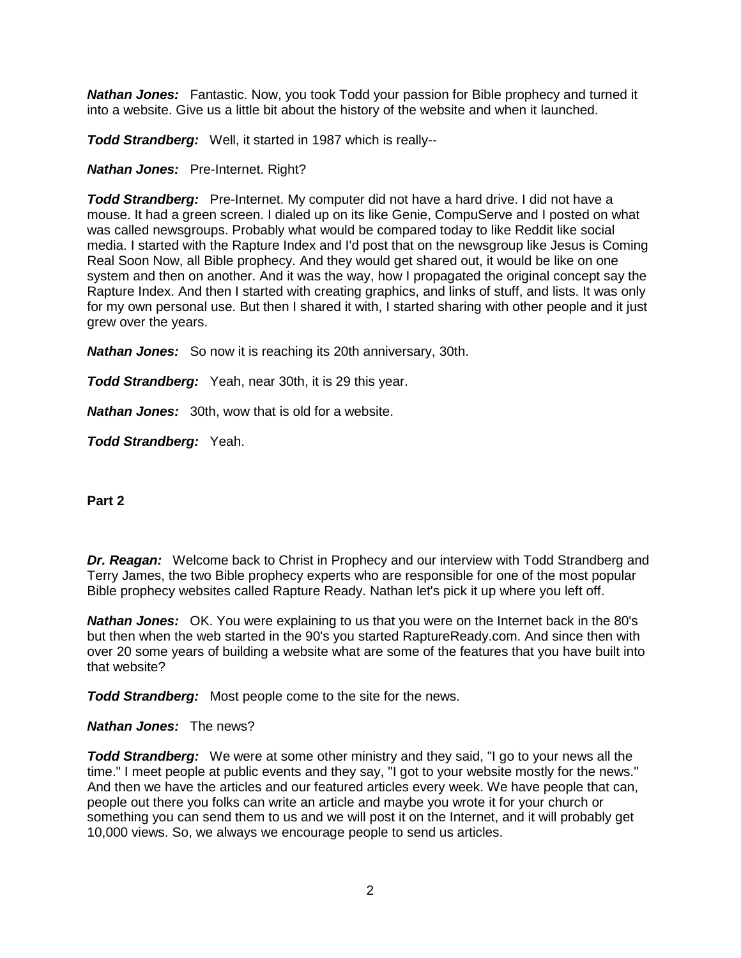*Nathan Jones:* Fantastic. Now, you took Todd your passion for Bible prophecy and turned it into a website. Give us a little bit about the history of the website and when it launched.

*Todd Strandberg:* Well, it started in 1987 which is really--

#### *Nathan Jones:* Pre-Internet. Right?

*Todd Strandberg:* Pre-Internet. My computer did not have a hard drive. I did not have a mouse. It had a green screen. I dialed up on its like Genie, CompuServe and I posted on what was called newsgroups. Probably what would be compared today to like Reddit like social media. I started with the Rapture Index and I'd post that on the newsgroup like Jesus is Coming Real Soon Now, all Bible prophecy. And they would get shared out, it would be like on one system and then on another. And it was the way, how I propagated the original concept say the Rapture Index. And then I started with creating graphics, and links of stuff, and lists. It was only for my own personal use. But then I shared it with, I started sharing with other people and it just grew over the years.

*Nathan Jones:* So now it is reaching its 20th anniversary, 30th.

*Todd Strandberg:* Yeah, near 30th, it is 29 this year.

*Nathan Jones:* 30th, wow that is old for a website.

*Todd Strandberg:* Yeah.

**Part 2**

*Dr. Reagan:* Welcome back to Christ in Prophecy and our interview with Todd Strandberg and Terry James, the two Bible prophecy experts who are responsible for one of the most popular Bible prophecy websites called Rapture Ready. Nathan let's pick it up where you left off.

*Nathan Jones:* OK. You were explaining to us that you were on the Internet back in the 80's but then when the web started in the 90's you started RaptureReady.com. And since then with over 20 some years of building a website what are some of the features that you have built into that website?

*Todd Strandberg:* Most people come to the site for the news.

#### *Nathan Jones:* The news?

*Todd Strandberg:* We were at some other ministry and they said, "I go to your news all the time." I meet people at public events and they say, "I got to your website mostly for the news." And then we have the articles and our featured articles every week. We have people that can, people out there you folks can write an article and maybe you wrote it for your church or something you can send them to us and we will post it on the Internet, and it will probably get 10,000 views. So, we always we encourage people to send us articles.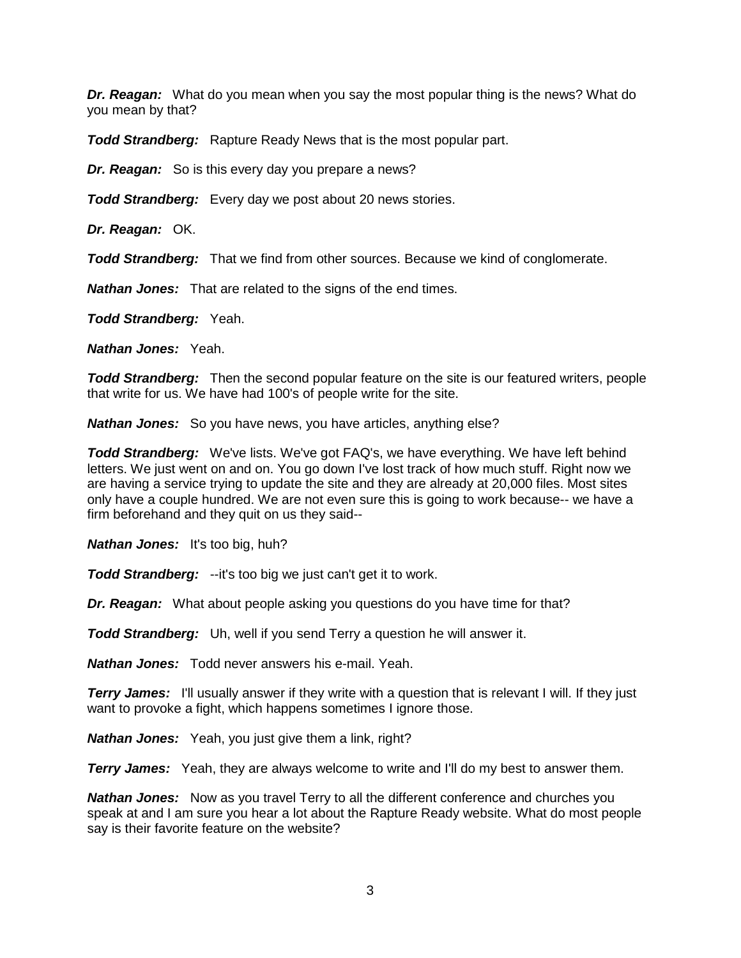*Dr. Reagan:* What do you mean when you say the most popular thing is the news? What do you mean by that?

**Todd Strandberg:** Rapture Ready News that is the most popular part.

*Dr. Reagan:* So is this every day you prepare a news?

*Todd Strandberg:* Every day we post about 20 news stories.

*Dr. Reagan:* OK.

*Todd Strandberg:* That we find from other sources. Because we kind of conglomerate.

*Nathan Jones:* That are related to the signs of the end times.

*Todd Strandberg:* Yeah.

*Nathan Jones:* Yeah.

**Todd Strandberg:** Then the second popular feature on the site is our featured writers, people that write for us. We have had 100's of people write for the site.

*Nathan Jones:* So you have news, you have articles, anything else?

*Todd Strandberg:* We've lists. We've got FAQ's, we have everything. We have left behind letters. We just went on and on. You go down I've lost track of how much stuff. Right now we are having a service trying to update the site and they are already at 20,000 files. Most sites only have a couple hundred. We are not even sure this is going to work because-- we have a firm beforehand and they quit on us they said--

*Nathan Jones:* It's too big, huh?

*Todd Strandberg:* --it's too big we just can't get it to work.

*Dr. Reagan:* What about people asking you questions do you have time for that?

*Todd Strandberg:* Uh, well if you send Terry a question he will answer it.

*Nathan Jones:* Todd never answers his e-mail. Yeah.

**Terry James:** I'll usually answer if they write with a question that is relevant I will. If they just want to provoke a fight, which happens sometimes I ignore those.

*Nathan Jones:* Yeah, you just give them a link, right?

*Terry James:* Yeah, they are always welcome to write and I'll do my best to answer them.

*Nathan Jones:* Now as you travel Terry to all the different conference and churches you speak at and I am sure you hear a lot about the Rapture Ready website. What do most people say is their favorite feature on the website?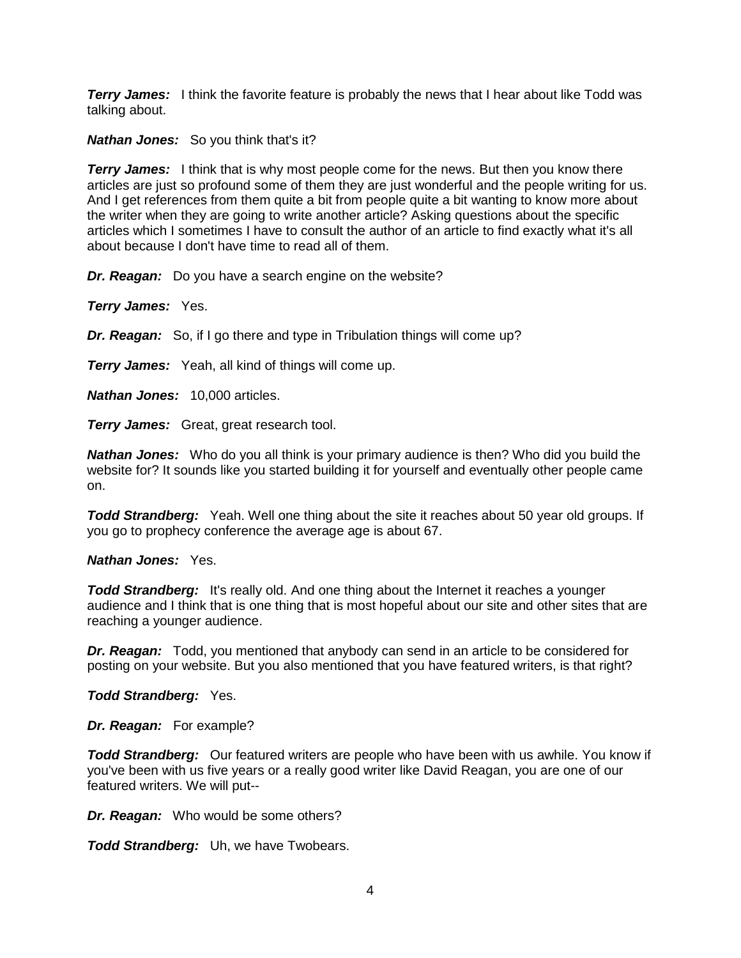*Terry James:* I think the favorite feature is probably the news that I hear about like Todd was talking about.

*Nathan Jones:* So you think that's it?

*Terry James:* I think that is why most people come for the news. But then you know there articles are just so profound some of them they are just wonderful and the people writing for us. And I get references from them quite a bit from people quite a bit wanting to know more about the writer when they are going to write another article? Asking questions about the specific articles which I sometimes I have to consult the author of an article to find exactly what it's all about because I don't have time to read all of them.

*Dr. Reagan:* Do you have a search engine on the website?

*Terry James:* Yes.

*Dr. Reagan:* So, if I go there and type in Tribulation things will come up?

*Terry James:* Yeah, all kind of things will come up.

*Nathan Jones:* 10,000 articles.

*Terry James:* Great, great research tool.

*Nathan Jones:* Who do you all think is your primary audience is then? Who did you build the website for? It sounds like you started building it for yourself and eventually other people came on.

*Todd Strandberg:* Yeah. Well one thing about the site it reaches about 50 year old groups. If you go to prophecy conference the average age is about 67.

*Nathan Jones:* Yes.

**Todd Strandberg:** It's really old. And one thing about the Internet it reaches a younger audience and I think that is one thing that is most hopeful about our site and other sites that are reaching a younger audience.

*Dr. Reagan:* Todd, you mentioned that anybody can send in an article to be considered for posting on your website. But you also mentioned that you have featured writers, is that right?

*Todd Strandberg:* Yes.

*Dr. Reagan:* For example?

*Todd Strandberg:* Our featured writers are people who have been with us awhile. You know if you've been with us five years or a really good writer like David Reagan, you are one of our featured writers. We will put--

*Dr. Reagan:* Who would be some others?

*Todd Strandberg:* Uh, we have Twobears.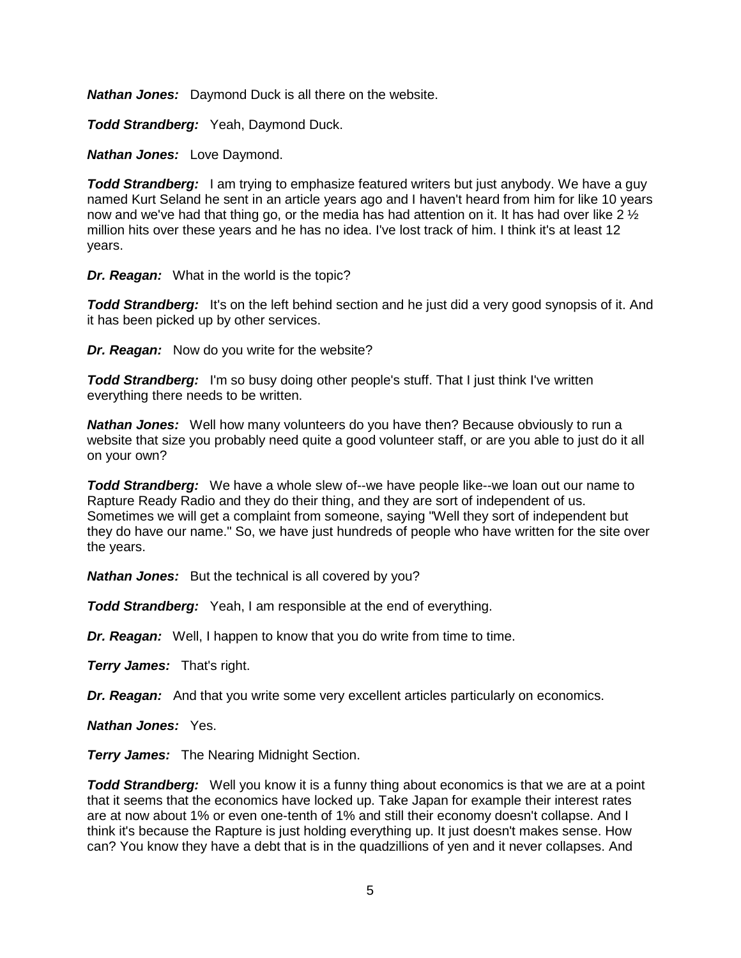*Nathan Jones:* Daymond Duck is all there on the website.

*Todd Strandberg:* Yeah, Daymond Duck.

*Nathan Jones:* Love Daymond.

**Todd Strandberg:** I am trying to emphasize featured writers but just anybody. We have a guy named Kurt Seland he sent in an article years ago and I haven't heard from him for like 10 years now and we've had that thing go, or the media has had attention on it. It has had over like 2  $\frac{1}{2}$ million hits over these years and he has no idea. I've lost track of him. I think it's at least 12 years.

*Dr. Reagan:* What in the world is the topic?

**Todd Strandberg:** It's on the left behind section and he just did a very good synopsis of it. And it has been picked up by other services.

*Dr. Reagan:* Now do you write for the website?

**Todd Strandberg:** I'm so busy doing other people's stuff. That I just think I've written everything there needs to be written.

*Nathan Jones:* Well how many volunteers do you have then? Because obviously to run a website that size you probably need quite a good volunteer staff, or are you able to just do it all on your own?

*Todd Strandberg:* We have a whole slew of--we have people like--we loan out our name to Rapture Ready Radio and they do their thing, and they are sort of independent of us. Sometimes we will get a complaint from someone, saying "Well they sort of independent but they do have our name." So, we have just hundreds of people who have written for the site over the years.

*Nathan Jones:* But the technical is all covered by you?

*Todd Strandberg:* Yeah, I am responsible at the end of everything.

*Dr. Reagan:* Well, I happen to know that you do write from time to time.

*Terry James:* That's right.

*Dr. Reagan:* And that you write some very excellent articles particularly on economics.

*Nathan Jones:* Yes.

*Terry James:* The Nearing Midnight Section.

**Todd Strandberg:** Well you know it is a funny thing about economics is that we are at a point that it seems that the economics have locked up. Take Japan for example their interest rates are at now about 1% or even one-tenth of 1% and still their economy doesn't collapse. And I think it's because the Rapture is just holding everything up. It just doesn't makes sense. How can? You know they have a debt that is in the quadzillions of yen and it never collapses. And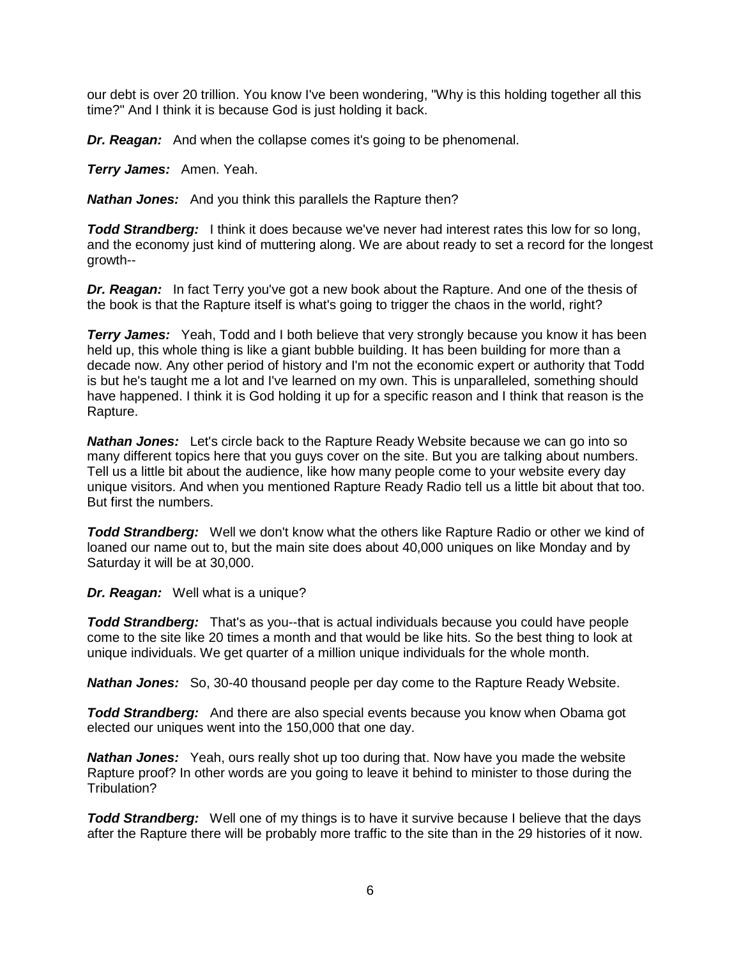our debt is over 20 trillion. You know I've been wondering, "Why is this holding together all this time?" And I think it is because God is just holding it back.

*Dr. Reagan:* And when the collapse comes it's going to be phenomenal.

*Terry James:* Amen. Yeah.

*Nathan Jones:* And you think this parallels the Rapture then?

**Todd Strandberg:** I think it does because we've never had interest rates this low for so long, and the economy just kind of muttering along. We are about ready to set a record for the longest growth--

*Dr. Reagan:* In fact Terry you've got a new book about the Rapture. And one of the thesis of the book is that the Rapture itself is what's going to trigger the chaos in the world, right?

**Terry James:** Yeah, Todd and I both believe that very strongly because you know it has been held up, this whole thing is like a giant bubble building. It has been building for more than a decade now. Any other period of history and I'm not the economic expert or authority that Todd is but he's taught me a lot and I've learned on my own. This is unparalleled, something should have happened. I think it is God holding it up for a specific reason and I think that reason is the Rapture.

*Nathan Jones:* Let's circle back to the Rapture Ready Website because we can go into so many different topics here that you guys cover on the site. But you are talking about numbers. Tell us a little bit about the audience, like how many people come to your website every day unique visitors. And when you mentioned Rapture Ready Radio tell us a little bit about that too. But first the numbers.

*Todd Strandberg:* Well we don't know what the others like Rapture Radio or other we kind of loaned our name out to, but the main site does about 40,000 uniques on like Monday and by Saturday it will be at 30,000.

*Dr. Reagan:* Well what is a unique?

*Todd Strandberg:* That's as you--that is actual individuals because you could have people come to the site like 20 times a month and that would be like hits. So the best thing to look at unique individuals. We get quarter of a million unique individuals for the whole month.

*Nathan Jones:* So, 30-40 thousand people per day come to the Rapture Ready Website.

*Todd Strandberg:* And there are also special events because you know when Obama got elected our uniques went into the 150,000 that one day.

*Nathan Jones:* Yeah, ours really shot up too during that. Now have you made the website Rapture proof? In other words are you going to leave it behind to minister to those during the Tribulation?

**Todd Strandberg:** Well one of my things is to have it survive because I believe that the days after the Rapture there will be probably more traffic to the site than in the 29 histories of it now.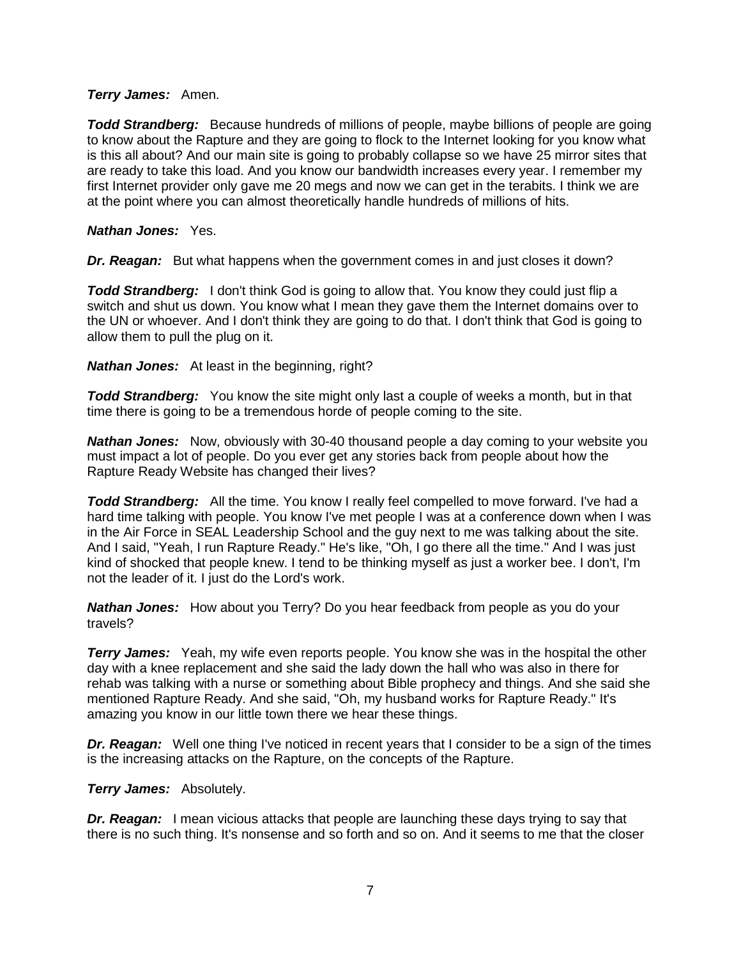#### *Terry James:* Amen.

**Todd Strandberg:** Because hundreds of millions of people, maybe billions of people are going to know about the Rapture and they are going to flock to the Internet looking for you know what is this all about? And our main site is going to probably collapse so we have 25 mirror sites that are ready to take this load. And you know our bandwidth increases every year. I remember my first Internet provider only gave me 20 megs and now we can get in the terabits. I think we are at the point where you can almost theoretically handle hundreds of millions of hits.

#### *Nathan Jones:* Yes.

*Dr. Reagan:* But what happens when the government comes in and just closes it down?

*Todd Strandberg:* I don't think God is going to allow that. You know they could just flip a switch and shut us down. You know what I mean they gave them the Internet domains over to the UN or whoever. And I don't think they are going to do that. I don't think that God is going to allow them to pull the plug on it.

*Nathan Jones:* At least in the beginning, right?

*Todd Strandberg:* You know the site might only last a couple of weeks a month, but in that time there is going to be a tremendous horde of people coming to the site.

*Nathan Jones:* Now, obviously with 30-40 thousand people a day coming to your website you must impact a lot of people. Do you ever get any stories back from people about how the Rapture Ready Website has changed their lives?

*Todd Strandberg:* All the time. You know I really feel compelled to move forward. I've had a hard time talking with people. You know I've met people I was at a conference down when I was in the Air Force in SEAL Leadership School and the guy next to me was talking about the site. And I said, "Yeah, I run Rapture Ready." He's like, "Oh, I go there all the time." And I was just kind of shocked that people knew. I tend to be thinking myself as just a worker bee. I don't, I'm not the leader of it. I just do the Lord's work.

*Nathan Jones:* How about you Terry? Do you hear feedback from people as you do your travels?

**Terry James:** Yeah, my wife even reports people. You know she was in the hospital the other day with a knee replacement and she said the lady down the hall who was also in there for rehab was talking with a nurse or something about Bible prophecy and things. And she said she mentioned Rapture Ready. And she said, "Oh, my husband works for Rapture Ready." It's amazing you know in our little town there we hear these things.

*Dr. Reagan:* Well one thing I've noticed in recent years that I consider to be a sign of the times is the increasing attacks on the Rapture, on the concepts of the Rapture.

*Terry James:* Absolutely.

*Dr. Reagan:* I mean vicious attacks that people are launching these days trying to say that there is no such thing. It's nonsense and so forth and so on. And it seems to me that the closer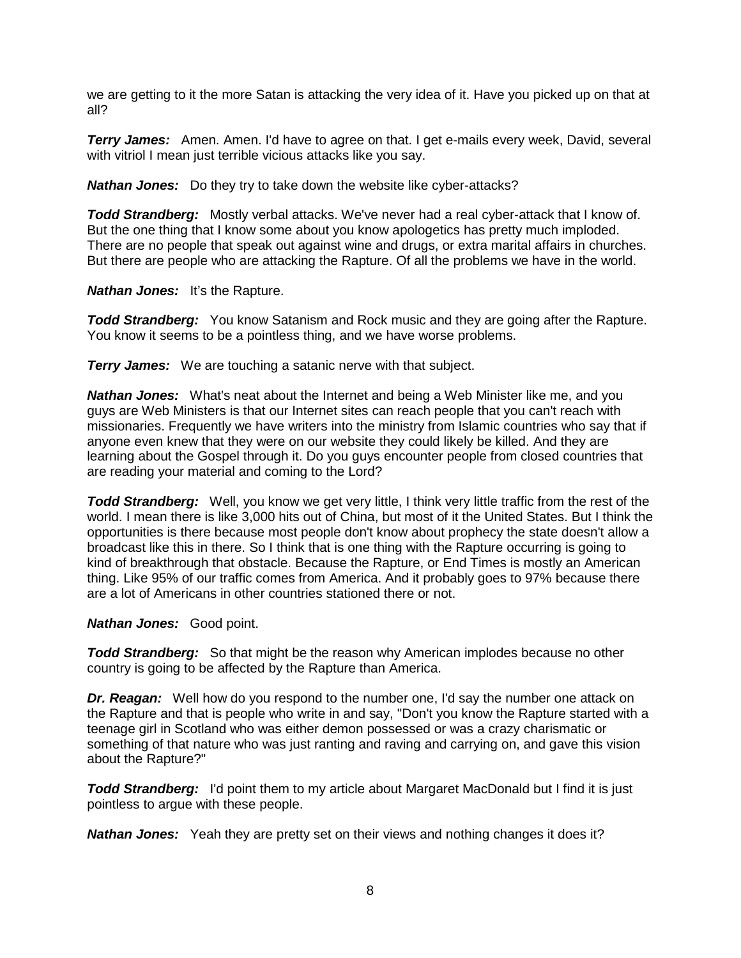we are getting to it the more Satan is attacking the very idea of it. Have you picked up on that at all?

**Terry James:** Amen. Amen. I'd have to agree on that. I get e-mails every week, David, several with vitriol I mean just terrible vicious attacks like you say.

*Nathan Jones:* Do they try to take down the website like cyber-attacks?

*Todd Strandberg:* Mostly verbal attacks. We've never had a real cyber-attack that I know of. But the one thing that I know some about you know apologetics has pretty much imploded. There are no people that speak out against wine and drugs, or extra marital affairs in churches. But there are people who are attacking the Rapture. Of all the problems we have in the world.

*Nathan Jones:* It's the Rapture.

*Todd Strandberg:* You know Satanism and Rock music and they are going after the Rapture. You know it seems to be a pointless thing, and we have worse problems.

*Terry James:* We are touching a satanic nerve with that subject.

*Nathan Jones:* What's neat about the Internet and being a Web Minister like me, and you guys are Web Ministers is that our Internet sites can reach people that you can't reach with missionaries. Frequently we have writers into the ministry from Islamic countries who say that if anyone even knew that they were on our website they could likely be killed. And they are learning about the Gospel through it. Do you guys encounter people from closed countries that are reading your material and coming to the Lord?

*Todd Strandberg:* Well, you know we get very little, I think very little traffic from the rest of the world. I mean there is like 3,000 hits out of China, but most of it the United States. But I think the opportunities is there because most people don't know about prophecy the state doesn't allow a broadcast like this in there. So I think that is one thing with the Rapture occurring is going to kind of breakthrough that obstacle. Because the Rapture, or End Times is mostly an American thing. Like 95% of our traffic comes from America. And it probably goes to 97% because there are a lot of Americans in other countries stationed there or not.

#### *Nathan Jones:* Good point.

*Todd Strandberg:* So that might be the reason why American implodes because no other country is going to be affected by the Rapture than America.

**Dr. Reagan:** Well how do you respond to the number one, I'd say the number one attack on the Rapture and that is people who write in and say, "Don't you know the Rapture started with a teenage girl in Scotland who was either demon possessed or was a crazy charismatic or something of that nature who was just ranting and raving and carrying on, and gave this vision about the Rapture?"

*Todd Strandberg:* I'd point them to my article about Margaret MacDonald but I find it is just pointless to argue with these people.

*Nathan Jones:* Yeah they are pretty set on their views and nothing changes it does it?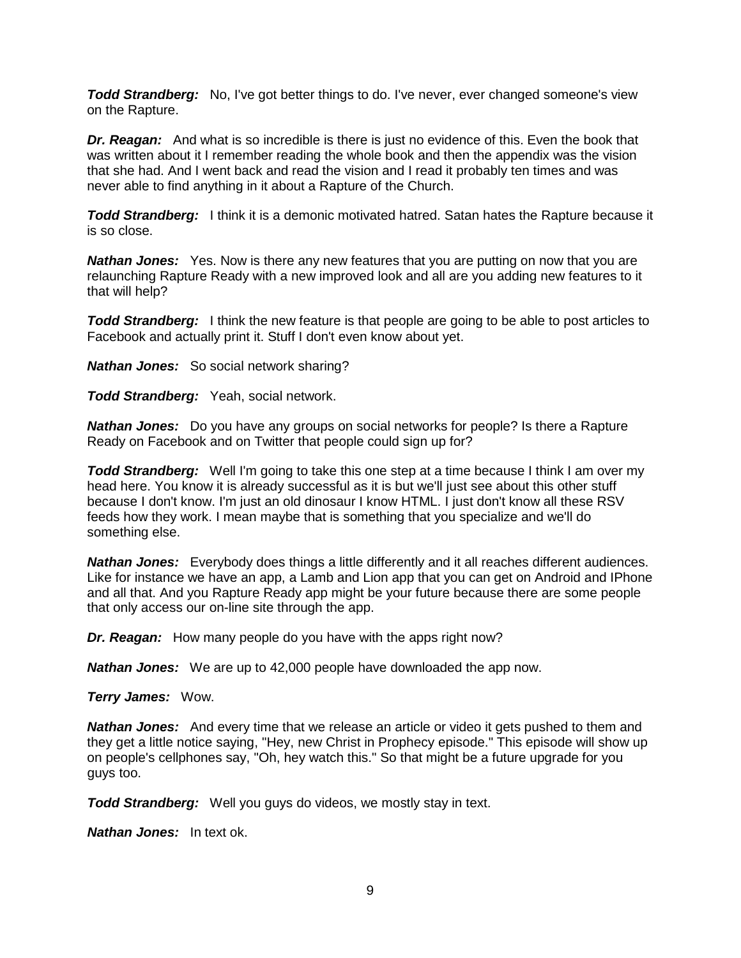*Todd Strandberg:* No, I've got better things to do. I've never, ever changed someone's view on the Rapture.

*Dr. Reagan:* And what is so incredible is there is just no evidence of this. Even the book that was written about it I remember reading the whole book and then the appendix was the vision that she had. And I went back and read the vision and I read it probably ten times and was never able to find anything in it about a Rapture of the Church.

**Todd Strandberg:** I think it is a demonic motivated hatred. Satan hates the Rapture because it is so close.

*Nathan Jones:* Yes. Now is there any new features that you are putting on now that you are relaunching Rapture Ready with a new improved look and all are you adding new features to it that will help?

*Todd Strandberg:* I think the new feature is that people are going to be able to post articles to Facebook and actually print it. Stuff I don't even know about yet.

*Nathan Jones:* So social network sharing?

*Todd Strandberg:* Yeah, social network.

*Nathan Jones:* Do you have any groups on social networks for people? Is there a Rapture Ready on Facebook and on Twitter that people could sign up for?

**Todd Strandberg:** Well I'm going to take this one step at a time because I think I am over my head here. You know it is already successful as it is but we'll just see about this other stuff because I don't know. I'm just an old dinosaur I know HTML. I just don't know all these RSV feeds how they work. I mean maybe that is something that you specialize and we'll do something else.

*Nathan Jones:* Everybody does things a little differently and it all reaches different audiences. Like for instance we have an app, a Lamb and Lion app that you can get on Android and IPhone and all that. And you Rapture Ready app might be your future because there are some people that only access our on-line site through the app.

*Dr. Reagan:* How many people do you have with the apps right now?

*Nathan Jones:* We are up to 42,000 people have downloaded the app now.

*Terry James:* Wow.

*Nathan Jones:* And every time that we release an article or video it gets pushed to them and they get a little notice saying, "Hey, new Christ in Prophecy episode." This episode will show up on people's cellphones say, "Oh, hey watch this." So that might be a future upgrade for you guys too.

*Todd Strandberg:* Well you guys do videos, we mostly stay in text.

*Nathan Jones:* In text ok.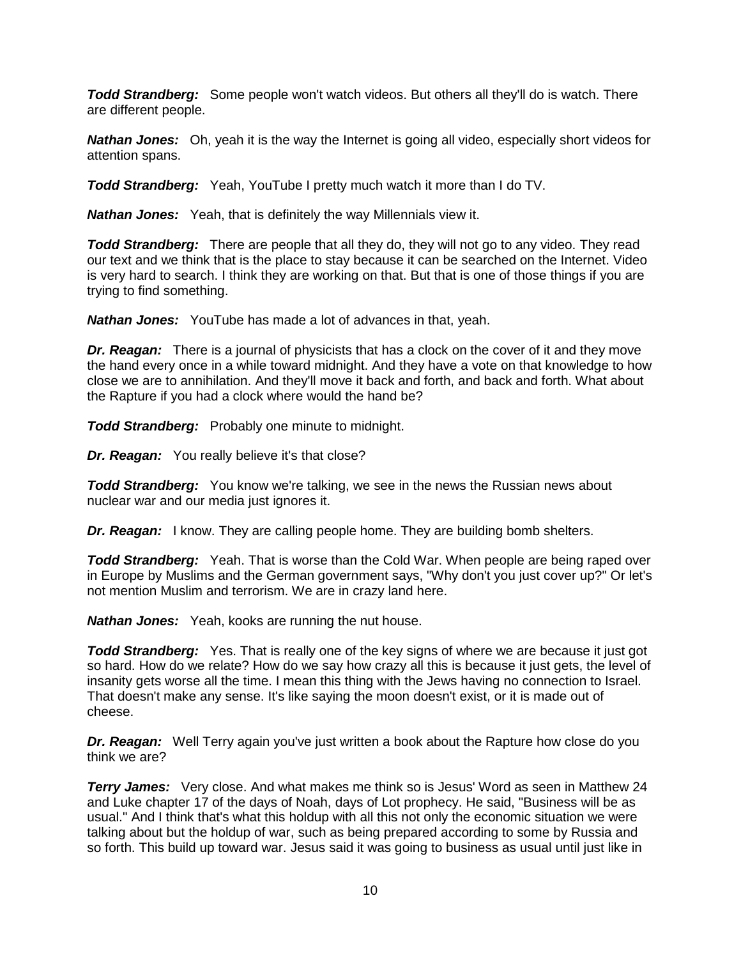*Todd Strandberg:* Some people won't watch videos. But others all they'll do is watch. There are different people.

*Nathan Jones:* Oh, yeah it is the way the Internet is going all video, especially short videos for attention spans.

*Todd Strandberg:* Yeah, YouTube I pretty much watch it more than I do TV.

*Nathan Jones:* Yeah, that is definitely the way Millennials view it.

*Todd Strandberg:* There are people that all they do, they will not go to any video. They read our text and we think that is the place to stay because it can be searched on the Internet. Video is very hard to search. I think they are working on that. But that is one of those things if you are trying to find something.

*Nathan Jones:* YouTube has made a lot of advances in that, yeah.

*Dr. Reagan:* There is a journal of physicists that has a clock on the cover of it and they move the hand every once in a while toward midnight. And they have a vote on that knowledge to how close we are to annihilation. And they'll move it back and forth, and back and forth. What about the Rapture if you had a clock where would the hand be?

**Todd Strandberg:** Probably one minute to midnight.

*Dr. Reagan:* You really believe it's that close?

**Todd Strandberg:** You know we're talking, we see in the news the Russian news about nuclear war and our media just ignores it.

*Dr. Reagan:* I know. They are calling people home. They are building bomb shelters.

*Todd Strandberg:* Yeah. That is worse than the Cold War. When people are being raped over in Europe by Muslims and the German government says, "Why don't you just cover up?" Or let's not mention Muslim and terrorism. We are in crazy land here.

*Nathan Jones:* Yeah, kooks are running the nut house.

*Todd Strandberg:* Yes. That is really one of the key signs of where we are because it just got so hard. How do we relate? How do we say how crazy all this is because it just gets, the level of insanity gets worse all the time. I mean this thing with the Jews having no connection to Israel. That doesn't make any sense. It's like saying the moon doesn't exist, or it is made out of cheese.

*Dr. Reagan:* Well Terry again you've just written a book about the Rapture how close do you think we are?

**Terry James:** Very close. And what makes me think so is Jesus' Word as seen in Matthew 24 and Luke chapter 17 of the days of Noah, days of Lot prophecy. He said, "Business will be as usual." And I think that's what this holdup with all this not only the economic situation we were talking about but the holdup of war, such as being prepared according to some by Russia and so forth. This build up toward war. Jesus said it was going to business as usual until just like in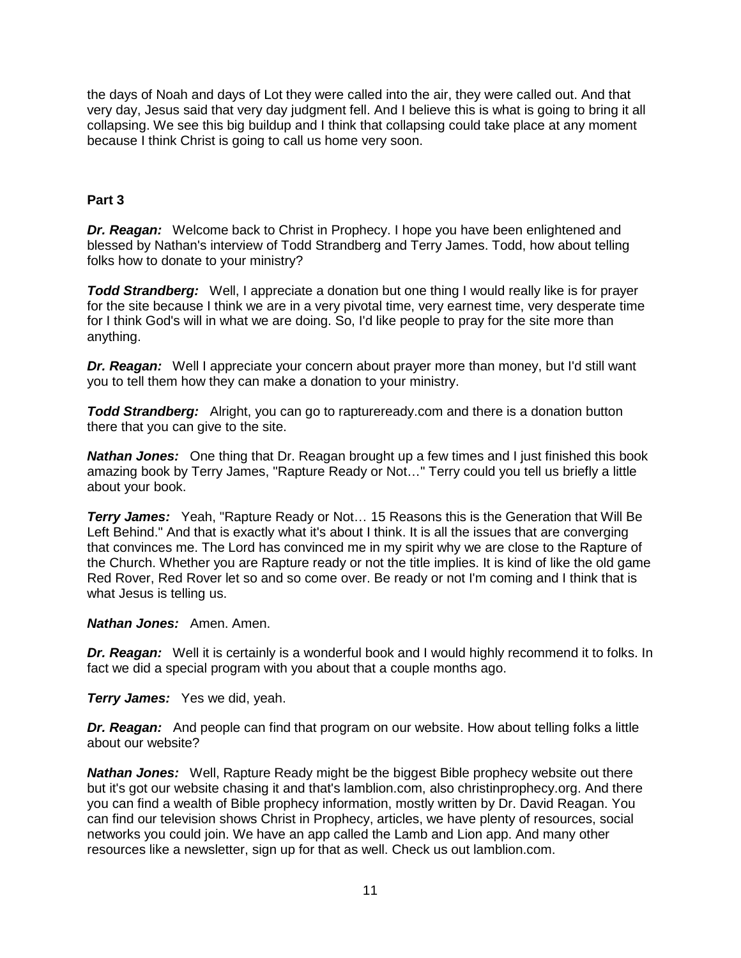the days of Noah and days of Lot they were called into the air, they were called out. And that very day, Jesus said that very day judgment fell. And I believe this is what is going to bring it all collapsing. We see this big buildup and I think that collapsing could take place at any moment because I think Christ is going to call us home very soon.

# **Part 3**

*Dr. Reagan:* Welcome back to Christ in Prophecy. I hope you have been enlightened and blessed by Nathan's interview of Todd Strandberg and Terry James. Todd, how about telling folks how to donate to your ministry?

*Todd Strandberg:* Well, I appreciate a donation but one thing I would really like is for prayer for the site because I think we are in a very pivotal time, very earnest time, very desperate time for I think God's will in what we are doing. So, I'd like people to pray for the site more than anything.

*Dr. Reagan:* Well I appreciate your concern about prayer more than money, but I'd still want you to tell them how they can make a donation to your ministry.

*Todd Strandberg:* Alright, you can go to raptureready.com and there is a donation button there that you can give to the site.

*Nathan Jones:* One thing that Dr. Reagan brought up a few times and I just finished this book amazing book by Terry James, "Rapture Ready or Not…" Terry could you tell us briefly a little about your book.

*Terry James:* Yeah, "Rapture Ready or Not… 15 Reasons this is the Generation that Will Be Left Behind." And that is exactly what it's about I think. It is all the issues that are converging that convinces me. The Lord has convinced me in my spirit why we are close to the Rapture of the Church. Whether you are Rapture ready or not the title implies. It is kind of like the old game Red Rover, Red Rover let so and so come over. Be ready or not I'm coming and I think that is what Jesus is telling us.

#### *Nathan Jones:* Amen. Amen.

*Dr. Reagan:* Well it is certainly is a wonderful book and I would highly recommend it to folks. In fact we did a special program with you about that a couple months ago.

*Terry James:* Yes we did, yeah.

*Dr. Reagan:* And people can find that program on our website. How about telling folks a little about our website?

*Nathan Jones:* Well, Rapture Ready might be the biggest Bible prophecy website out there but it's got our website chasing it and that's lamblion.com, also christinprophecy.org. And there you can find a wealth of Bible prophecy information, mostly written by Dr. David Reagan. You can find our television shows Christ in Prophecy, articles, we have plenty of resources, social networks you could join. We have an app called the Lamb and Lion app. And many other resources like a newsletter, sign up for that as well. Check us out lamblion.com.